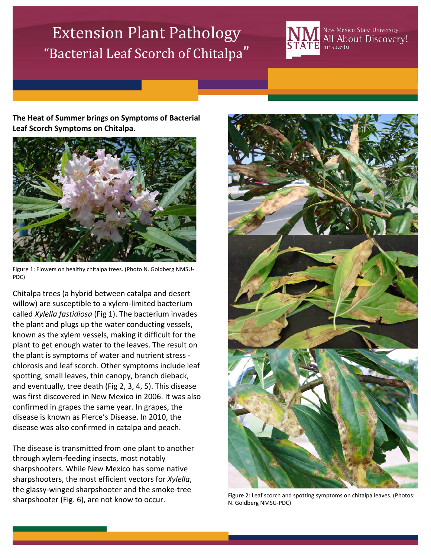## Extension Plant Pathology "Bacterial Leaf Scorch of Chitalpa"



**The Heat of Summer brings on Symptoms of Bacterial Leaf Scorch Symptoms on Chitalpa.** 



Figure 1: Flowers on healthy chitalpa trees. (Photo N. Goldberg NMSU-PDC)

Chitalpa trees (a hybrid between catalpa and desert willow) are susceptible to a xylem-limited bacterium called *Xylella fastidiosa* (Fig 1). The bacterium invades the plant and plugs up the water conducting vessels, known as the xylem vessels, making it difficult for the plant to get enough water to the leaves. The result on the plant is symptoms of water and nutrient stress chlorosis and leaf scorch. Other symptoms include leaf spotting, small leaves, thin canopy, branch dieback, and eventually, tree death (Fig 2, 3, 4, 5). This disease was first discovered in New Mexico in 2006. It was also confirmed in grapes the same year. In grapes, the disease is known as Pierce's Disease. In 2010, the disease was also confirmed in catalpa and peach.

The disease is transmitted from one plant to another through xylem-feeding insects, most notably sharpshooters. While New Mexico has some native sharpshooters, the most efficient vectors for *Xylella*, the glassy-winged sharpshooter and the smoke-tree sharpshooter (Fig. 6), are not know to occur.



Figure 2: Leaf scorch and spotting symptoms on chitalpa leaves. (Photos: N. Goldberg NMSU-PDC)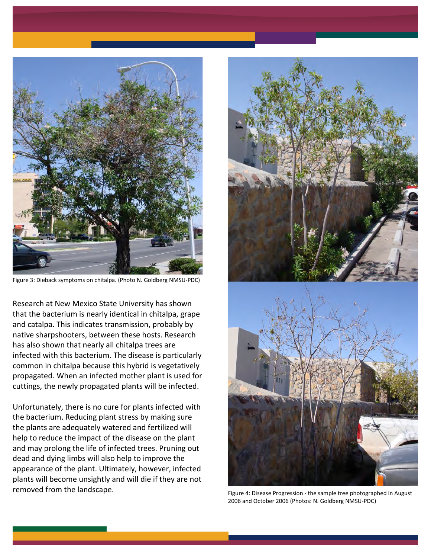

Figure 3: Dieback symptoms on chitalpa. (Photo N. Goldberg NMSU-PDC)

Research at New Mexico State University has shown that the bacterium is nearly identical in chitalpa, grape and catalpa. This indicates transmission, probably by native sharpshooters, between these hosts. Research has also shown that nearly all chitalpa trees are infected with this bacterium. The disease is particularly common in chitalpa because this hybrid is vegetatively propagated. When an infected mother plant is used for cuttings, the newly propagated plants will be infected.

Unfortunately, there is no cure for plants infected with the bacterium. Reducing plant stress by making sure the plants are adequately watered and fertilized will help to reduce the impact of the disease on the plant and may prolong the life of infected trees. Pruning out dead and dying limbs will also help to improve the appearance of the plant. Ultimately, however, infected plants will become unsightly and will die if they are not removed from the landscape.



Figure 4: Disease Progression - the sample tree photographed in August 2006 and October 2006 (Photos: N. Goldberg NMSU-PDC)